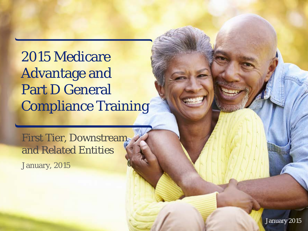2015 Medicare Advantage and Part D General Compliance Training

First Tier, Downstream and Related Entities January, 2015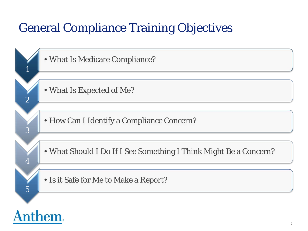## General Compliance Training Objectives

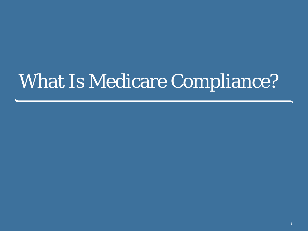# What Is Medicare Compliance?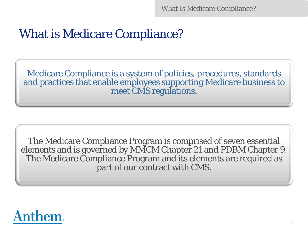## What is Medicare Compliance?

Medicare Compliance is a system of policies, procedures, standards and practices that enable employees supporting Medicare business to meet CMS regulations.

The Medicare Compliance Program is comprised of seven essential elements and is governed by MMCM Chapter 21 and PDBM Chapter 9. The Medicare Compliance Program and its elements are required as part of our contract with CMS.

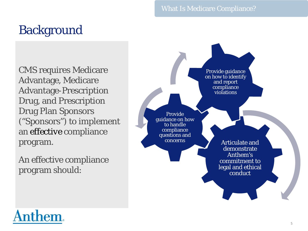#### What Is Medicare Compliance?

## **Background**

CMS requires Medicare Advantage, Medicare Advantage-Prescription Drug, and Prescription Drug Plan Sponsors ("Sponsors") to implement an *effective* compliance program.

An effective compliance program should:



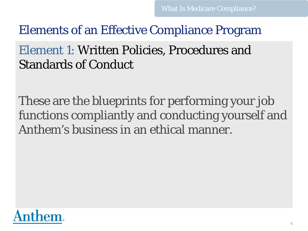## Element 1: Written Policies, Procedures and Standards of Conduct

These are the blueprints for performing your job functions compliantly and conducting yourself and Anthem's business in an ethical manner.

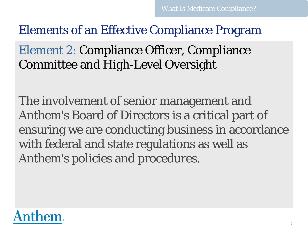Element 2: Compliance Officer, Compliance Committee and High-Level Oversight

The involvement of senior management and Anthem's Board of Directors is a critical part of ensuring we are conducting business in accordance with federal and state regulations as well as Anthem's policies and procedures.

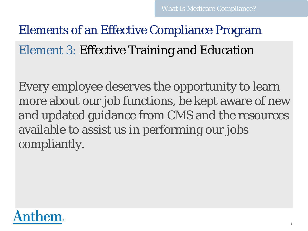## Elements of an Effective Compliance Program Element 3: Effective Training and Education

Every employee deserves the opportunity to learn more about our job functions, be kept aware of new and updated guidance from CMS and the resources available to assist us in performing our jobs compliantly.

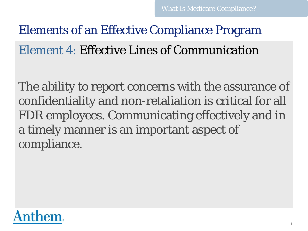## Elements of an Effective Compliance Program Element 4: Effective Lines of Communication

The ability to report concerns with the assurance of confidentiality and non-retaliation is critical for all FDR employees. Communicating effectively and in a timely manner is an important aspect of compliance.

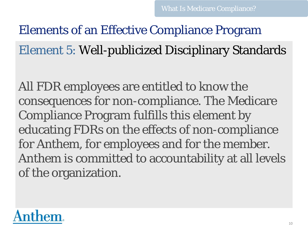Elements of an Effective Compliance Program Element 5: Well-publicized Disciplinary Standards

All FDR employees are entitled to know the consequences for non-compliance. The Medicare Compliance Program fulfills this element by educating FDRs on the effects of non-compliance for Anthem, for employees and for the member. Anthem is committed to accountability at all levels of the organization.

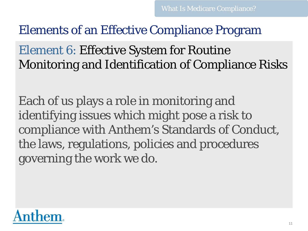Element 6: Effective System for Routine Monitoring and Identification of Compliance Risks

Each of us plays a role in monitoring and identifying issues which might pose a risk to compliance with Anthem's Standards of Conduct, the laws, regulations, policies and procedures governing the work we do.

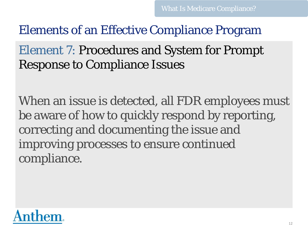## Element 7: Procedures and System for Prompt Response to Compliance Issues

When an issue is detected, all FDR employees must be aware of how to quickly respond by reporting, correcting and documenting the issue and improving processes to ensure continued compliance.

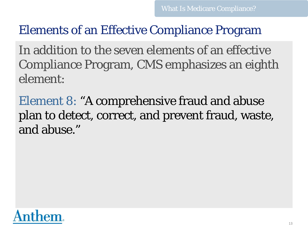In addition to the seven elements of an effective Compliance Program, CMS emphasizes an eighth element:

Element 8: "A comprehensive fraud and abuse plan to detect, correct, and prevent fraud, waste, and abuse."

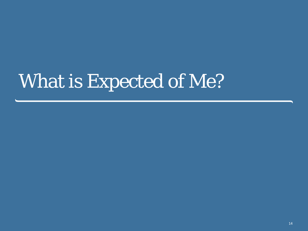# What is Expected of Me?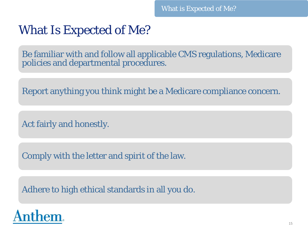## What Is Expected of Me?

Be familiar with and follow all applicable CMS regulations, Medicare policies and departmental procedures.

Report anything you think might be a Medicare compliance concern.

Act fairly and honestly.

Comply with the letter and spirit of the law.

Adhere to high ethical standards in all you do.

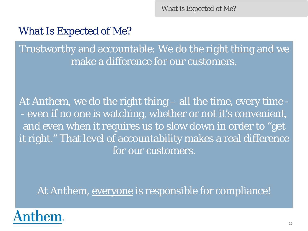What is Expected of Me?

### What Is Expected of Me?

Trustworthy and accountable: We do the right thing and we make a difference for our customers.

At Anthem, we do the right thing – all the time, every time - - even if no one is watching, whether or not it's convenient, and even when it requires us to slow down in order to "get it right." That level of accountability makes a real difference for our customers.

At Anthem, everyone is responsible for compliance!

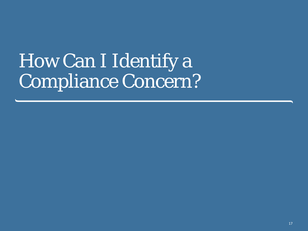# How Can I Identify a Compliance Concern?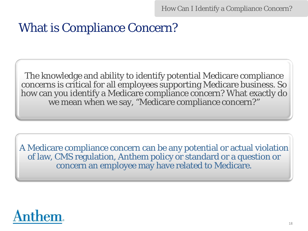How Can I Identify a Compliance Concern?

## What is Compliance Concern?

The knowledge and ability to identify potential Medicare compliance concerns is critical for all employees supporting Medicare business. So how can you identify a Medicare compliance concern? What exactly do we mean when we say, "Medicare compliance concern?"

A Medicare compliance concern can be any potential or actual violation of law, CMS regulation, Anthem policy or standard or a question or concern an employee may have related to Medicare.

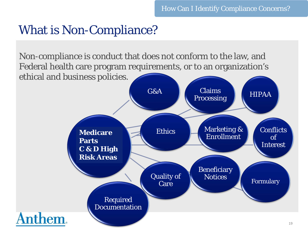## What is Non-Compliance?

Non-compliance is conduct that does not conform to the law, and Federal health care program requirements, or to an organization's ethical and business policies.

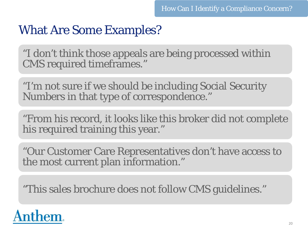## What Are Some Examples?

"I don't think those appeals are being processed within CMS required timeframes."

"I'm not sure if we should be including Social Security Numbers in that type of correspondence."

"From his record, it looks like this broker did not complete his required training this year."

"Our Customer Care Representatives don't have access to the most current plan information."

"This sales brochure does not follow CMS guidelines."

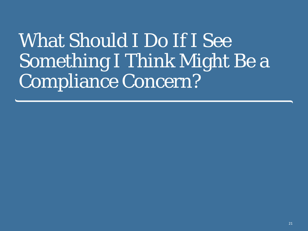# What Should I Do If I See Something I Think Might Be a Compliance Concern?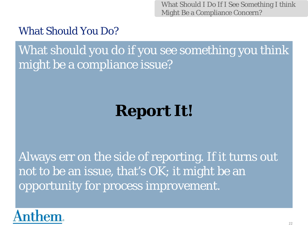What Should I Do If I See Something I think Might Be a Compliance Concern?

### What Should You Do?

What should you do if you see something you think might be a compliance issue?

## **Report It!**

Always err on the side of reporting. If it turns out not to be an issue, that's OK; it might be an opportunity for process improvement.

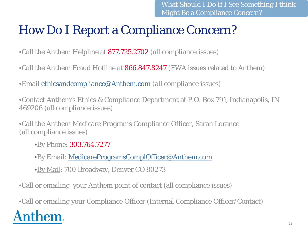## How Do I Report a Compliance Concern?

•Call the Anthem Helpline at **877.725.2702** (all compliance issues)

•Call the Anthem Fraud Hotline at **866.847.8247** (FWA issues related to Anthem)

•Email [ethicsandcompliance@Anthem.com](mailto:ethicsandcompliance@wellpoint.com) (all compliance issues)

•Contact Anthem's Ethics & Compliance Department at P.O. Box 791, Indianapolis, IN 469206 (all compliance issues)

•Call the Anthem Medicare Programs Compliance Officer, Sarah Lorance (all compliance issues)

•By Phone: 303.764.7277

•By Email: [MedicareProgramsComplOfficer@Anthem.com](mailto:MedicareProgramsComplOfficer@wellpoint.com)

•By Mail: 700 Broadway, Denver CO 80273

•Call or emailing your Anthem point of contact (all compliance issues)

•Call or emailing your Compliance Officer (Internal Compliance Officer/Contact) em.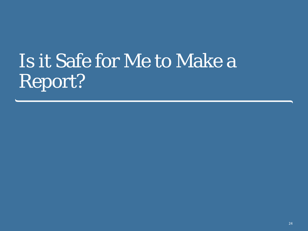# Is it Safe for Me to Make a Report?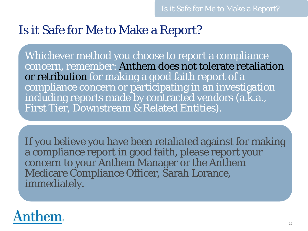## Is it Safe for Me to Make a Report?

Whichever method you choose to report a compliance concern, remember: Anthem does not tolerate retaliation or retribution for making a good faith report of a compliance concern or participating in an investigation including reports made by contracted vendors (a.k.a., First Tier, Downstream & Related Entities).

If you believe you have been retaliated against for making a compliance report in good faith, please report your concern to your Anthem Manager or the Anthem Medicare Compliance Officer, Sarah Lorance, immediately.

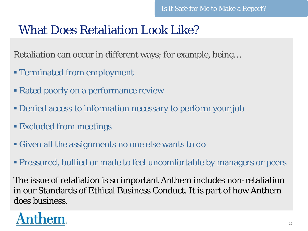## What Does Retaliation Look Like?

Retaliation can occur in different ways; for example, being…

- Terminated from employment
- **Rated poorly on a performance review**
- Denied access to information necessary to perform your job
- Excluded from meetings
- Given all the assignments no one else wants to do
- Pressured, bullied or made to feel uncomfortable by managers or peers

The issue of retaliation is so important Anthem includes non-retaliation in our Standards of Ethical Business Conduct. It is part of how Anthem does business.

## hem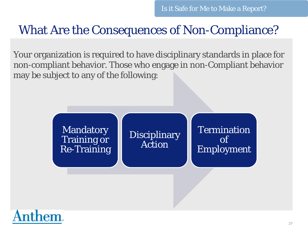## What Are the Consequences of Non-Compliance?

Your organization is required to have disciplinary standards in place for non-compliant behavior. Those who engage in non-Compliant behavior may be subject to any of the following:

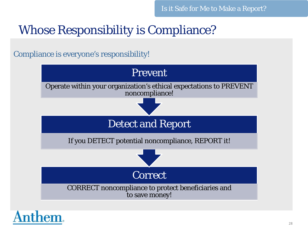## Whose Responsibility is Compliance?

Compliance is everyone's responsibility!



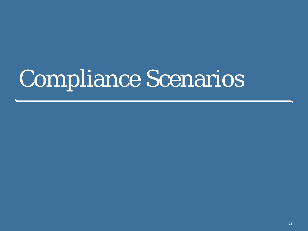# Compliance Scenarios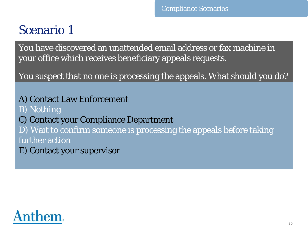## Scenario 1

You have discovered an unattended email address or fax machine in your office which receives beneficiary appeals requests.

You suspect that no one is processing the appeals. What should you do?

A) Contact Law Enforcement B) Nothing C) Contact your Compliance Department D) Wait to confirm someone is processing the appeals before taking further action E) Contact your supervisor

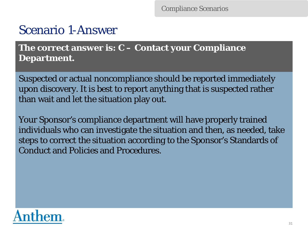## Scenario 1-Answer

**The correct answer is: C – Contact your Compliance Department.** 

Suspected or actual noncompliance should be reported immediately upon discovery. It is best to report anything that is suspected rather than wait and let the situation play out.

Your Sponsor's compliance department will have properly trained individuals who can investigate the situation and then, as needed, take steps to correct the situation according to the Sponsor's Standards of Conduct and Policies and Procedures.

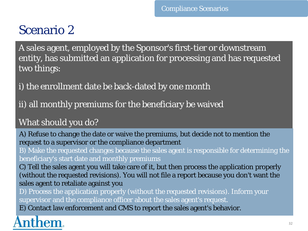## Scenario 2

A sales agent, employed by the Sponsor's first-tier or downstream entity, has submitted an application for processing and has requested two things:

i) the enrollment date be back-dated by one month

ii) all monthly premiums for the beneficiary be waived

#### What should you do?

A) Refuse to change the date or waive the premiums, but decide not to mention the request to a supervisor or the compliance department

B) Make the requested changes because the sales agent is responsible for determining the beneficiary's start date and monthly premiums

C) Tell the sales agent you will take care of it, but then process the application properly (without the requested revisions). You will not file a report because you don't want the sales agent to retaliate against you

D) Process the application properly (without the requested revisions). Inform your supervisor and the compliance officer about the sales agent's request.

E) Contact law enforcement and CMS to report the sales agent's behavior.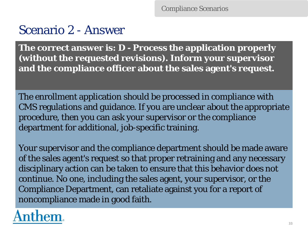Compliance Scenarios

## Scenario 2 - Answer

**The correct answer is: D - Process the application properly (without the requested revisions). Inform your supervisor and the compliance officer about the sales agent's request.** 

The enrollment application should be processed in compliance with CMS regulations and guidance. If you are unclear about the appropriate procedure, then you can ask your supervisor or the compliance department for additional, job-specific training.

Your supervisor and the compliance department should be made aware of the sales agent's request so that proper retraining and any necessary disciplinary action can be taken to ensure that this behavior does not continue. *No one*, including the sales agent, your supervisor, or the Compliance Department, can retaliate against you for a report of noncompliance made in good faith.

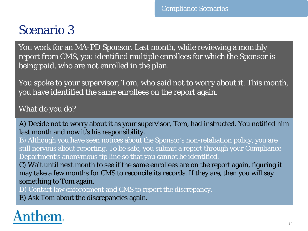## Scenario 3

You work for an MA-PD Sponsor. Last month, while reviewing a monthly report from CMS, you identified multiple enrollees for which the Sponsor is being paid, who are not enrolled in the plan.

You spoke to your supervisor, Tom, who said not to worry about it. This month, you have identified the same enrollees on the report again.

What do you do?

A) Decide not to worry about it as your supervisor, Tom, had instructed. You notified him last month and now it's his responsibility.

B) Although you have seen notices about the Sponsor's non-retaliation policy, you are still nervous about reporting. To be safe, you submit a report through your Compliance Department's anonymous tip line so that you cannot be identified.

C) Wait until next month to see if the same enrollees are on the report again, figuring it may take a few months for CMS to reconcile its records. If they are, then you will say something to Tom again.

D) Contact law enforcement and CMS to report the discrepancy.

E) Ask Tom about the discrepancies again.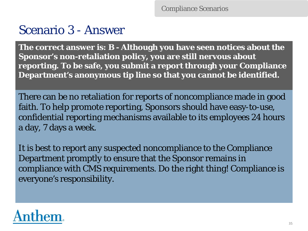## Scenario 3 - Answer

**The correct answer is: B - Although you have seen notices about the Sponsor's non-retaliation policy, you are still nervous about reporting. To be safe, you submit a report through your Compliance Department's anonymous tip line so that you cannot be identified.** 

There can be no retaliation for reports of noncompliance made in good faith. To help promote reporting, Sponsors should have easy-to-use, confidential reporting mechanisms available to its employees 24 hours a day, 7 days a week.

It is best to report any suspected noncompliance to the Compliance Department promptly to ensure that the Sponsor remains in compliance with CMS requirements. Do the right thing! Compliance is everyone's responsibility.

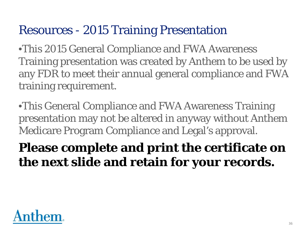## Resources - 2015 Training Presentation

•This 2015 General Compliance and FWA Awareness Training presentation was created by Anthem to be used by any FDR to meet their annual general compliance and FWA training requirement.

•This General Compliance and FWA Awareness Training presentation may not be altered in anyway without Anthem Medicare Program Compliance and Legal's approval.

## **Please complete and print the certificate on the next slide and retain for your records.**

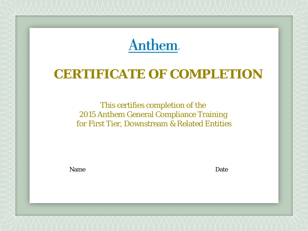**Anthem.** 

# **CERTIFICATE OF COMPLETION**

This certifies completion of the 2015 Anthem General Compliance Training for First Tier, Downstream & Related Entities

Name

Date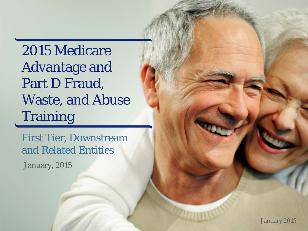2015 Medicare Advantage and Part D Fraud, Waste, and Abuse **Training** 

First Tier, Downstream and Related Entities

January, 2015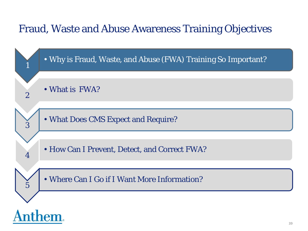### Fraud, Waste and Abuse Awareness Training Objectives

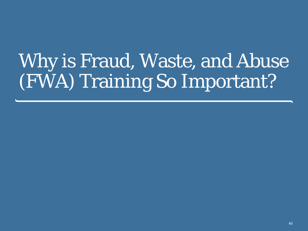# Why is Fraud, Waste, and Abuse (FWA) Training So Important?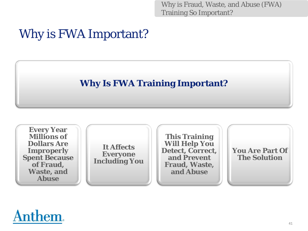Why is Fraud, Waste, and Abuse (FWA) Training So Important?

# Why is FWA Important?

### **Why Is FWA Training Important?**



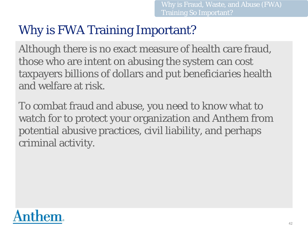# Why is FWA Training Important?

Although there is no exact measure of health care fraud, those who are intent on abusing the system can cost taxpayers billions of dollars and put beneficiaries health and welfare at risk.

To combat fraud and abuse, you need to know what to watch for to protect your organization and Anthem from potential abusive practices, civil liability, and perhaps criminal activity.

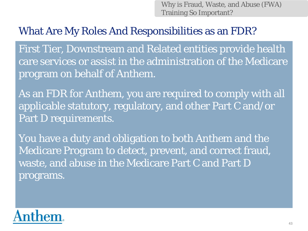Why is Fraud, Waste, and Abuse (FWA) Training So Important?

### What Are My Roles And Responsibilities as an FDR?

First Tier, Downstream and Related entities provide health care services or assist in the administration of the Medicare program on behalf of Anthem.

As an FDR for Anthem, you are required to comply with all applicable statutory, regulatory, and other Part C and/or Part D requirements.

You have a duty and obligation to both Anthem and the Medicare Program to detect, prevent, and correct fraud, waste, and abuse in the Medicare Part C and Part D programs.

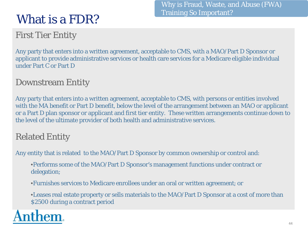# What is a FDR?

First Tier Entity

Any party that enters into a written agreement, acceptable to CMS, with a MAO/Part D Sponsor or applicant to provide administrative services or health care services for a Medicare eligible individual under Part C or Part D

### Downstream Entity

Any party that enters into a written agreement, acceptable to CMS, with persons or entities involved with the MA benefit or Part D benefit, below the level of the arrangement between an MAO or applicant or a Part D plan sponsor or applicant and first tier entity. These written arrangements continue down to the level of the ultimate provider of both health and administrative services.

### Related Entity

Any entity that is related to the MAO/Part D Sponsor by common ownership or control and:

•Performs some of the MAO/Part D Sponsor's management functions under contract or delegation;

•Furnishes services to Medicare enrollees under an oral or written agreement; or

•Leases real estate property or sells materials to the MAO/Part D Sponsor at a cost of more than \$2500 during a contract period

Why is Fraud, Waste, and Abuse (FWA) Training So Important?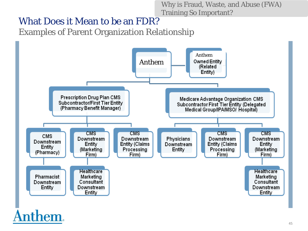Why is Fraud, Waste, and Abuse (FWA) Training So Important?

### What Does it Mean to be an FDR?

Examples of Parent Organization Relationship

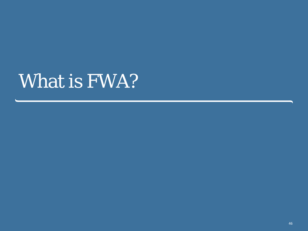# What is FWA?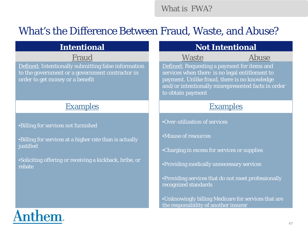What is FWA?

### What's the Difference Between Fraud, Waste, and Abuse?

Defined: Intentionally submitting false information to the government or a government contractor in order to get money or a benefit

### Examples and the Examples Examples

### •Billing for services not furnished

•Billing for services at a higher rate than is actually justified

•Soliciting offering or receiving a kickback, bribe, or rebate

### **Intentional and Intentional Contract Exceptional Contract Ave**

Fraud Waste

Abuse

Defined: Requesting a payment for items and services when there is no legal entitlement to payment. Unlike fraud, there is no knowledge and/or intentionally misrepresented facts in order to obtain payment

•Over-utilization of services

•Misuse of resources

•Charging in excess for services or supplies

•Providing medically unnecessary services

•Providing services that do not meet professionally recognized standards

•Unknowingly billing Medicare for services that are the responsibility of another insurer

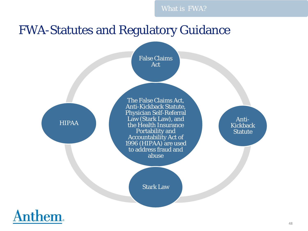# FWA-Statutes and Regulatory Guidance

False Claims Act

HIPAA

The False Claims Act, Anti-Kickback Statute, Physician Self-Referral Law (Stark Law), and the Health Insurance Portability and Accountability Act of 1996 (HIPAA) are used to address fraud and abuse

Stark Law

Anti-Kickback **Statute** 

**Anthem.**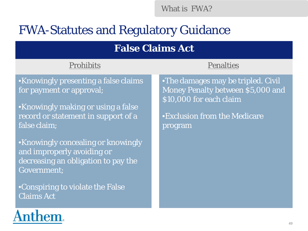What is FWA?

# FWA-Statutes and Regulatory Guidance

### **False Claims Act**

### Prohibits **Penalties**

•Knowingly presenting a false claims for payment or approval;

•Knowingly making or using a false record or statement in support of a false claim;

•Knowingly concealing or knowingly and improperly avoiding or decreasing an obligation to pay the Government;

•Conspiring to violate the False Claims Act

•The damages may be tripled. Civil Money Penalty between \$5,000 and \$10,000 for each claim

•Exclusion from the Medicare program

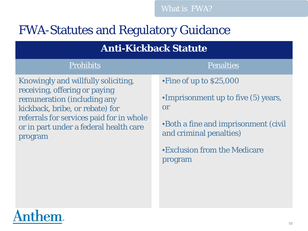# FWA-Statutes and Regulatory Guidance

### **Anti-Kickback Statute**

### Prohibits **Prohibits** Penalties

Knowingly and willfully soliciting, receiving, offering or paying remuneration (including any kickback, bribe, or rebate) for referrals for services paid for in whole or in part under a federal health care program

•Fine of up to \$25,000

•Imprisonment up to five (5) years, or

•Both a fine and imprisonment (civil and criminal penalties)

•Exclusion from the Medicare program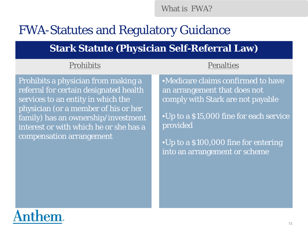What is FWA?

## FWA-Statutes and Regulatory Guidance

### **Stark Statute (Physician Self-Referral Law)**

### Prohibits **Penalties**

Prohibits a physician from making a referral for certain designated health services to an entity in which the physician (or a member of his or her family) has an ownership/investment interest or with which he or she has a compensation arrangement

•Medicare claims confirmed to have an arrangement that does not comply with Stark are not payable

•Up to a \$15,000 fine for each service provided

•Up to a \$100,000 fine for entering into an arrangement or scheme

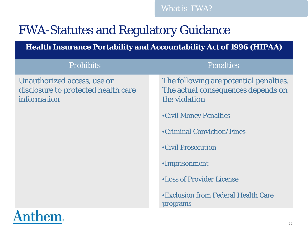# FWA-Statutes and Regulatory Guidance

Anthem.

**Health Insurance Portability and Accountability Act of 1996 (HIPAA)** 

| <b>Prohibits</b>                                                                  | <b>Penalties</b>                                                                              |
|-----------------------------------------------------------------------------------|-----------------------------------------------------------------------------------------------|
| Unauthorized access, use or<br>disclosure to protected health care<br>information | The following are potential penalties.<br>The actual consequences depends on<br>the violation |
|                                                                                   | •Civil Money Penalties                                                                        |
|                                                                                   | •Criminal Conviction/Fines                                                                    |
|                                                                                   | •Civil Prosecution                                                                            |
|                                                                                   | •Imprisonment                                                                                 |
|                                                                                   | <b>•Loss of Provider License</b>                                                              |
|                                                                                   | •Exclusion from Federal Health Care<br>programs                                               |
| $\blacktriangle$                                                                  |                                                                                               |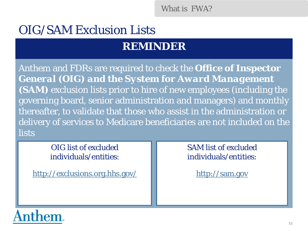What is FWA?

# OIG/SAM Exclusion Lists

### **REMINDER**

Anthem and FDRs are required to check the *Office of Inspector General (OIG) and the System for Award Management (SAM)* exclusion lists prior to hire of new employees (including the governing board, senior administration and managers) and monthly thereafter, to validate that those who assist in the administration or delivery of services to Medicare beneficiaries are not included on the lists

> OIG list of excluded individuals/entities:

<http://exclusions.org.hhs.gov/>

SAM list of excluded individuals/entities:

[http://](http:///)[sam.gov](https://www.sam.gov/portal/public/SAM/)

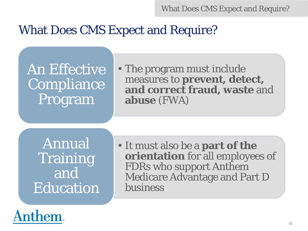## What Does CMS Expect and Require?

An Effective **Compliance** Program

• The program must include measures to **prevent, detect, and correct fraud, waste** and **abuse** (FWA)

Annual **Training** and **Education** 

• It must also be a **part of the orientation** for all employees of FDRs who support Anthem Medicare Advantage and Part D business

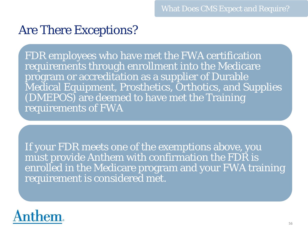### Are There Exceptions?

FDR employees who have met the FWA certification requirements through enrollment into the Medicare program or accreditation as a supplier of Durable Medical Equipment, Prosthetics, Orthotics, and Supplies (DMEPOS) are deemed to have met the Training requirements of FWA

If your FDR meets one of the exemptions above, you must provide Anthem with confirmation the FDR is enrolled in the Medicare program and your FWA training requirement is considered met.

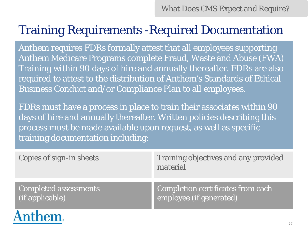# Training Requirements -Required Documentation

Anthem requires FDRs formally attest that all employees supporting Anthem Medicare Programs complete Fraud, Waste and Abuse (FWA) Training within 90 days of hire and annually thereafter. FDRs are also required to attest to the distribution of Anthem's Standards of Ethical Business Conduct and/or Compliance Plan to all employees.

FDRs must have a process in place to train their associates within 90 days of hire and annually thereafter. Written policies describing this process must be made available upon request, as well as specific training documentation including:

| Copies of sign-in sheets     | Training objectives and any provided<br>material |
|------------------------------|--------------------------------------------------|
| <b>Completed assessments</b> | Completion certificates from each                |
| (if applicable)              | employee (if generated)                          |

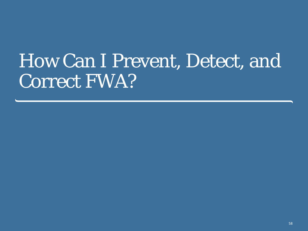# How Can I Prevent, Detect, and Correct FWA?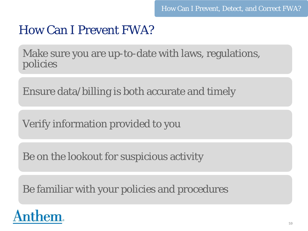# How Can I Prevent FWA?

Make sure you are up-to-date with laws, regulations, policies

Ensure data/billing is both accurate and timely

Verify information provided to you

Be on the lookout for suspicious activity

Be familiar with your policies and procedures

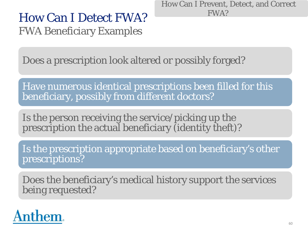How Can I Prevent, Detect, and Correct FWA?

## How Can I Detect FWA? FWA Beneficiary Examples

Does a prescription look altered or possibly forged?

Have numerous identical prescriptions been filled for this beneficiary, possibly from different doctors?

Is the person receiving the service/picking up the prescription the actual beneficiary (identity theft)?

Is the prescription appropriate based on beneficiary's other prescriptions?

Does the beneficiary's medical history support the services being requested?

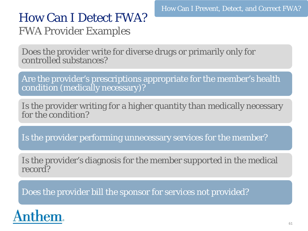### How Can I Detect FWA? FWA Provider Examples

Does the provider write for diverse drugs or primarily only for controlled substances?

Are the provider's prescriptions appropriate for the member's health condition (medically necessary)?

Is the provider writing for a higher quantity than medically necessary for the condition?

Is the provider performing unnecessary services for the member?

Is the provider's diagnosis for the member supported in the medical record?

Does the provider bill the sponsor for services not provided?

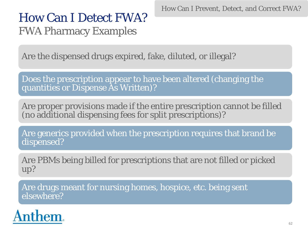How Can I Prevent, Detect, and Correct FWA?

# How Can I Detect FWA? FWA Pharmacy Examples

Are the dispensed drugs expired, fake, diluted, or illegal?

Does the prescription appear to have been altered (changing the quantities or Dispense As Written)?

Are proper provisions made if the entire prescription cannot be filled (no additional dispensing fees for split prescriptions)?

Are generics provided when the prescription requires that brand be dispensed?

Are PBMs being billed for prescriptions that are not filled or picked up?

Are drugs meant for nursing homes, hospice, etc. being sent elsewhere?

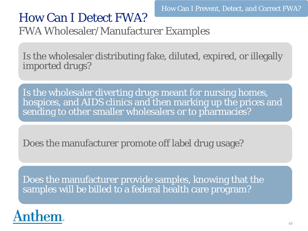# How Can I Detect FWA?

FWA Wholesaler/Manufacturer Examples

Is the wholesaler distributing fake, diluted, expired, or illegally imported drugs?

Is the wholesaler diverting drugs meant for nursing homes, hospices, and AIDS clinics and then marking up the prices and sending to other smaller wholesalers or to pharmacies?

Does the manufacturer promote off label drug usage?

Does the manufacturer provide samples, knowing that the samples will be billed to a federal health care program?

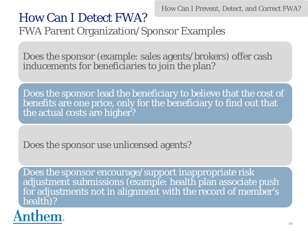How Can I Prevent, Detect, and Correct FWA?

# How Can I Detect FWA?

FWA Parent Organization/Sponsor Examples

Does the sponsor (example: sales agents/brokers) offer cash inducements for beneficiaries to join the plan?

Does the sponsor lead the beneficiary to believe that the cost of benefits are one price, only for the beneficiary to find out that the actual costs are higher?

Does the sponsor use unlicensed agents?

Does the sponsor encourage/support inappropriate risk adjustment submissions (example: health plan associate push for adjustments not in alignment with the record of member's health)?

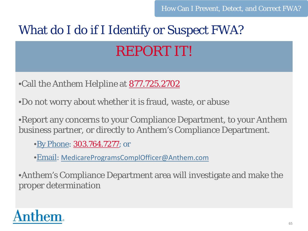# What do I do if I Identify or Suspect FWA? REPORT IT!

•Call the Anthem Helpline at **877.725.2702** 

•Do not worry about whether it is fraud, waste, or abuse

•Report any concerns to your Compliance Department, to your Anthem business partner, or directly to Anthem's Compliance Department.

•By Phone: 303.764.7277; or

•Email: [MedicareProgramsComplOfficer@Anthem.com](mailto:MedicareProgramsComplOfficer@wellpoint.com)

•Anthem's Compliance Department area will investigate and make the proper determination

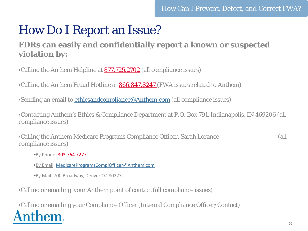### How Do I Report an Issue?

### **FDRs can easily and confidentially report a known or suspected violation by:**

•Calling the Anthem Helpline at 877.725.2702 (all compliance issues)

•Calling the Anthem Fraud Hotline at **866.847.8247** (FWA issues related to Anthem)

•Sending an email to [ethicsandcompliance@Anthem.com](mailto:ethicsandcompliance@wellpoint.com) (all compliance issues)

•Contacting Anthem's Ethics & Compliance Department at P.O. Box 791, Indianapolis, IN 469206 (all compliance issues)

•Calling the Anthem Medicare Programs Compliance Officer, Sarah Lorance (all compliance issues)

•By Phone: 303.764.7277

- •By Email: [MedicareProgramsComplOfficer@Anthem.com](mailto:MedicareProgramsComplOfficer@wellpoint.com)
- •By Mail: 700 Broadway, Denver CO 80273

•Calling or emailing your Anthem point of contact (all compliance issues)

•Calling or emailing your Compliance Officer (Internal Compliance Officer/Contact)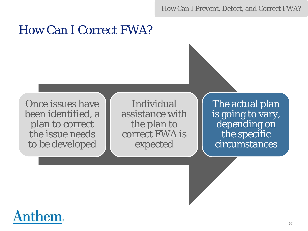How Can I Prevent, Detect, and Correct FWA?

### How Can I Correct FWA?

Once issues have been identified, a plan to correct the issue needs to be developed

Individual assistance with the plan to correct FWA is expected

The actual plan is going to vary, depending on the specific circumstances

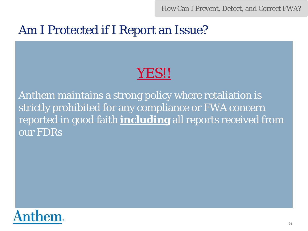How Can I Prevent, Detect, and Correct FWA?

### Am I Protected if I Report an Issue?

# YES!!

Anthem maintains a strong policy where retaliation is strictly prohibited for any compliance or FWA concern reported in good faith **including** all reports received from our FDRs

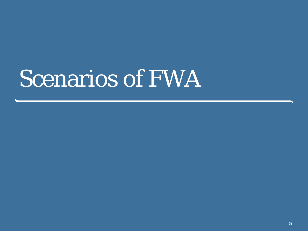# Scenarios of FWA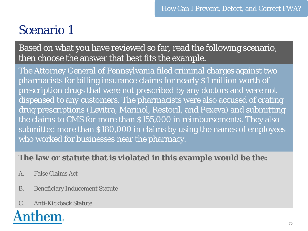# Scenario 1

Based on what you have reviewed so far, read the following scenario, then choose the answer that best fits the example.

The Attorney General of Pennsylvania filed criminal charges against two pharmacists for billing insurance claims for nearly \$1 million worth of prescription drugs that were not prescribed by any doctors and were not dispensed to any customers. The pharmacists were also accused of crating drug prescriptions (Levitra, Marinol, Restoril, and Pexeva) and submitting the claims to CMS for more than \$155,000 in reimbursements. They also submitted more than \$180,000 in claims by using the names of employees who worked for businesses near the pharmacy.

### **The law or statute that is violated in this example would be the:**

- A. False Claims Act
- B. Beneficiary Inducement Statute
- C. Anti-Kickback Statute

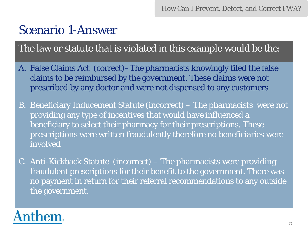How Can I Prevent, Detect, and Correct FWA?

### Scenario 1-Answer

The law or statute that is violated in this example would be the:

- A. False Claims Act (correct)–The pharmacists knowingly filed the false claims to be reimbursed by the government. These claims were not prescribed by any doctor and were not dispensed to any customers
- B. Beneficiary Inducement Statute (incorrect) The pharmacists were not providing any type of incentives that would have influenced a beneficiary to select their pharmacy for their prescriptions. These prescriptions were written fraudulently therefore no beneficiaries were involved
- C. Anti-Kickback Statute (incorrect) The pharmacists were providing fraudulent prescriptions for their benefit to the government. There was no payment in return for their referral recommendations to any outside the government.

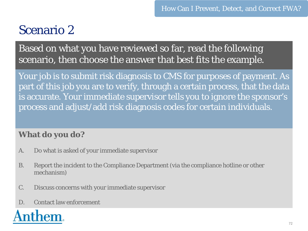# Scenario 2

Based on what you have reviewed so far, read the following scenario, then choose the answer that best fits the example.

Your job is to submit risk diagnosis to CMS for purposes of payment. As part of this job you are to verify, through a certain process, that the data is accurate. Your immediate supervisor tells you to ignore the sponsor's process and adjust/add risk diagnosis codes for certain individuals.

### **What do you do?**

- A. Do what is asked of your immediate supervisor
- B. Report the incident to the Compliance Department (via the compliance hotline or other mechanism)
- C. Discuss concerns with your immediate supervisor
- D. Contact law enforcement

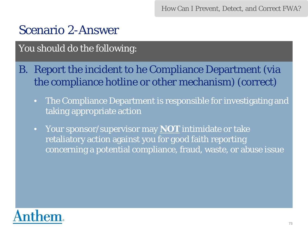How Can I Prevent, Detect, and Correct FWA?

### Scenario 2-Answer

#### You should do the following:

- B. Report the incident to he Compliance Department (via the compliance hotline or other mechanism) (correct)
	- The Compliance Department is responsible for investigating and taking appropriate action
	- Your sponsor/supervisor may **NOT** intimidate or take retaliatory action against you for good faith reporting concerning a potential compliance, fraud, waste, or abuse issue

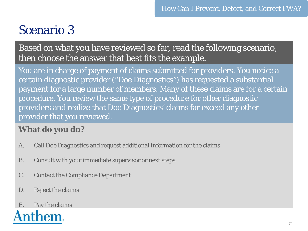## Scenario 3

Based on what you have reviewed so far, read the following scenario, then choose the answer that best fits the example.

You are in charge of payment of claims submitted for providers. You notice a certain diagnostic provider ("Doe Diagnostics") has requested a substantial payment for a large number of members. Many of these claims are for a certain procedure. You review the same type of procedure for other diagnostic providers and realize that Doe Diagnostics' claims far exceed any other provider that you reviewed.

#### **What do you do?**

- A. Call Doe Diagnostics and request additional information for the claims
- B. Consult with your immediate supervisor or next steps
- C. Contact the Compliance Department
- D. Reject the claims

# E. Pay the claims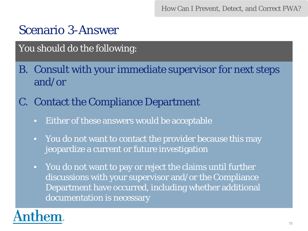How Can I Prevent, Detect, and Correct FWA?

### Scenario 3-Answer

#### You should do the following:

- B. Consult with your immediate supervisor for next steps and/or
- C. Contact the Compliance Department
	- Either of these answers would be acceptable
	- You do not want to contact the provider because this may jeopardize a current or future investigation
	- You do not want to pay or reject the claims until further discussions with your supervisor and/or the Compliance Department have occurred, including whether additional documentation is necessary

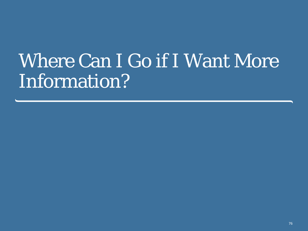# Where Can I Go if I Want More Information?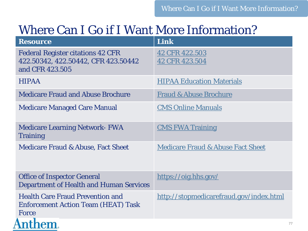## Where Can I Go if I Want More Information?

| <b>Resource</b>                                                                                    | Link                                         |
|----------------------------------------------------------------------------------------------------|----------------------------------------------|
| <b>Federal Register citations 42 CFR</b><br>422.50342, 422.50442, CFR 423.50442<br>and CFR 423.505 | 42 CFR 422.503<br>42 CFR 423.504             |
| <b>HIPAA</b>                                                                                       | <b>HIPAA Education Materials</b>             |
| <b>Medicare Fraud and Abuse Brochure</b>                                                           | <b>Fraud &amp; Abuse Brochure</b>            |
| <b>Medicare Managed Care Manual</b>                                                                | <b>CMS Online Manuals</b>                    |
| <b>Medicare Learning Network- FWA</b><br><b>Training</b>                                           | <b>CMS FWA Training</b>                      |
| <b>Medicare Fraud &amp; Abuse, Fact Sheet</b>                                                      | <b>Medicare Fraud &amp; Abuse Fact Sheet</b> |
| <b>Office of Inspector General</b><br><b>Department of Health and Human Services</b>               | https://oig.hhs.gov/                         |
| <b>Health Care Fraud Prevention and</b><br><b>Enforcement Action Team (HEAT) Task</b><br>Force     | http://stopmedicarefraud.gov/index.html      |
| em                                                                                                 | 77                                           |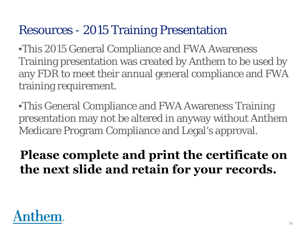## Resources - 2015 Training Presentation

•This 2015 General Compliance and FWA Awareness Training presentation was created by Anthem to be used by any FDR to meet their annual general compliance and FWA training requirement.

•This General Compliance and FWA Awareness Training presentation may not be altered in anyway without Anthem Medicare Program Compliance and Legal's approval.

## Please complete and print the certificate on the next slide and retain for your records.